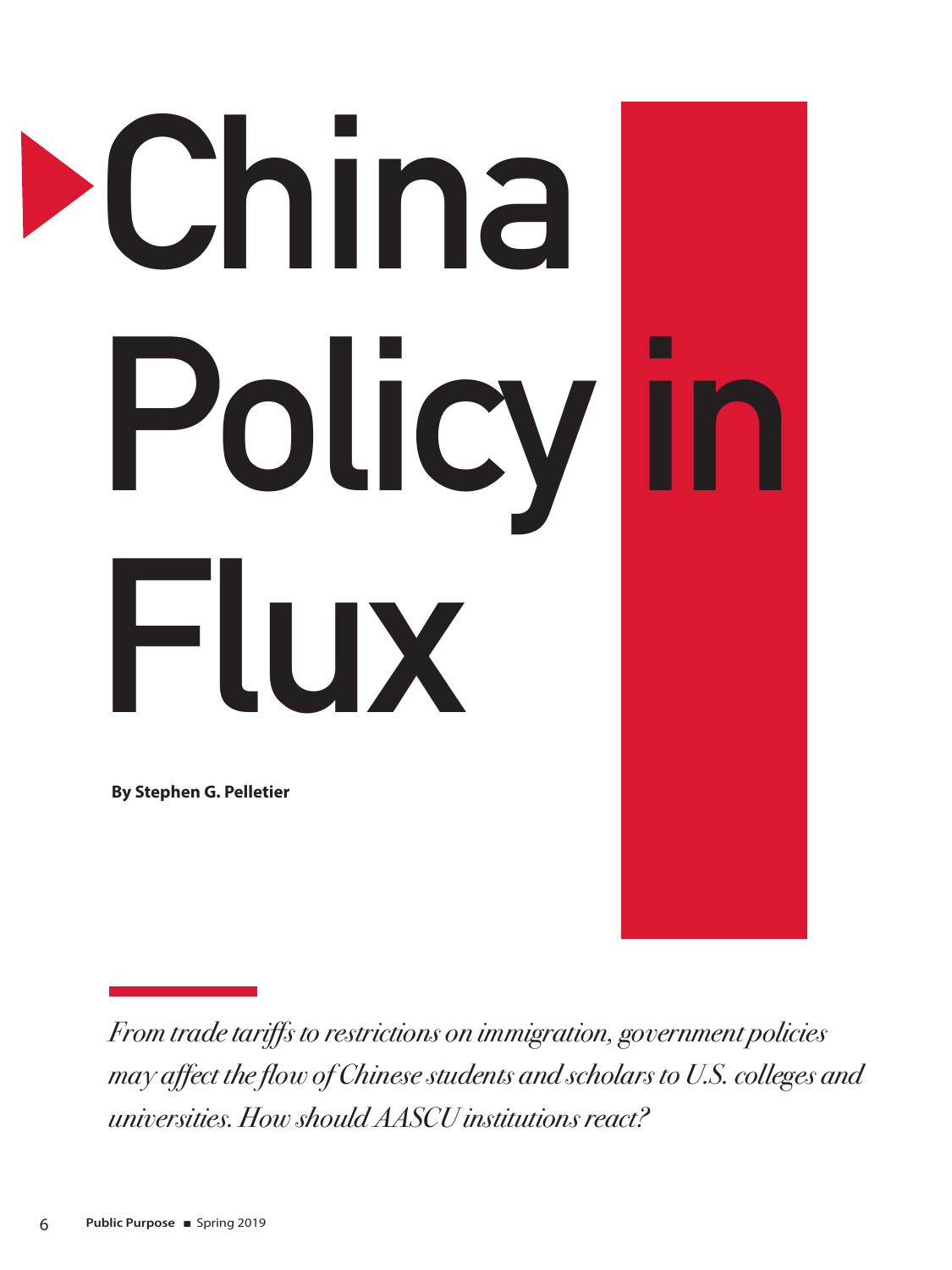

*From trade tariffs to restrictions on immigration, government policies may affect the flow of Chinese students and scholars to U.S. colleges and universities. How should AASCU institutions react?*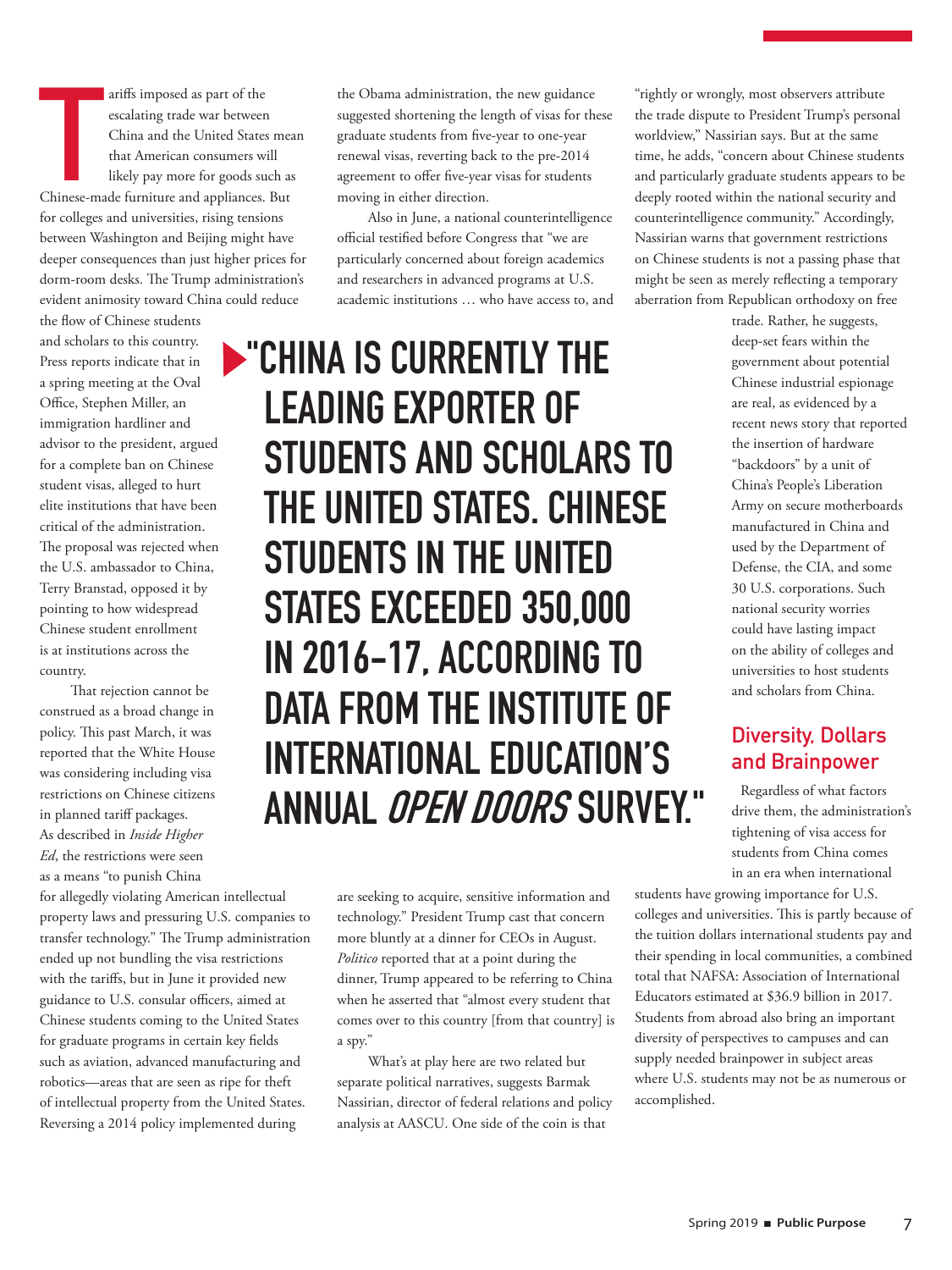The ariffs imposed as part of the<br>
escalating trade war between<br>
China and the United States meath<br>
that American consumers will<br>
likely pay more for goods such as<br>
Chinese-made furniture and appliances. But ariffs imposed as part of the escalating trade war between China and the United States mean that American consumers will likely pay more for goods such as for colleges and universities, rising tensions between Washington and Beijing might have deeper consequences than just higher prices for dorm-room desks. The Trump administration's evident animosity toward China could reduce

the flow of Chinese students and scholars to this country. Press reports indicate that in a spring meeting at the Oval Office, Stephen Miller, an immigration hardliner and advisor to the president, argued for a complete ban on Chinese student visas, alleged to hurt elite institutions that have been critical of the administration. The proposal was rejected when the U.S. ambassador to China, Terry Branstad, opposed it by pointing to how widespread Chinese student enrollment is at institutions across the country.

That rejection cannot be construed as a broad change in policy. This past March, it was reported that the White House was considering including visa restrictions on Chinese citizens in planned tariff packages. As described in *Inside Higher Ed*, the restrictions were seen as a means "to punish China

for allegedly violating American intellectual property laws and pressuring U.S. companies to transfer technology." The Trump administration ended up not bundling the visa restrictions with the tariffs, but in June it provided new guidance to U.S. consular officers, aimed at Chinese students coming to the United States for graduate programs in certain key fields such as aviation, advanced manufacturing and robotics—areas that are seen as ripe for theft of intellectual property from the United States. Reversing a 2014 policy implemented during

the Obama administration, the new guidance suggested shortening the length of visas for these graduate students from five-year to one-year renewal visas, reverting back to the pre-2014 agreement to offer five-year visas for students moving in either direction.

Also in June, a national counterintelligence official testified before Congress that "we are particularly concerned about foreign academics and researchers in advanced programs at U.S. academic institutions … who have access to, and

**EXAMPLE THE SCURRENTLY THE LEADING EXPORTER OF STUDENTS AND SCHOLARS TO THE UNITED STATES. CHINESE STUDENTS IN THE UNITED STATES EXCEEDED 350,000 IN 2016-17, ACCORDING TO DATA FROM THE INSTITUTE OF INTERNATIONAL EDUCATION'S ANNUAL OPEN DOORS SURVEY."**

> are seeking to acquire, sensitive information and technology." President Trump cast that concern more bluntly at a dinner for CEOs in August. *Politico* reported that at a point during the dinner, Trump appeared to be referring to China when he asserted that "almost every student that comes over to this country [from that country] is a spy."

> What's at play here are two related but separate political narratives, suggests Barmak Nassirian, director of federal relations and policy analysis at AASCU. One side of the coin is that

"rightly or wrongly, most observers attribute the trade dispute to President Trump's personal worldview," Nassirian says. But at the same time, he adds, "concern about Chinese students and particularly graduate students appears to be deeply rooted within the national security and counterintelligence community." Accordingly, Nassirian warns that government restrictions on Chinese students is not a passing phase that might be seen as merely reflecting a temporary aberration from Republican orthodoxy on free

> trade. Rather, he suggests, deep-set fears within the government about potential Chinese industrial espionage are real, as evidenced by a recent news story that reported the insertion of hardware "backdoors" by a unit of China's People's Liberation Army on secure motherboards manufactured in China and used by the Department of Defense, the CIA, and some 30 U.S. corporations. Such national security worries could have lasting impact on the ability of colleges and universities to host students and scholars from China.

## **Diversity, Dollars and Brainpower**

Regardless of what factors drive them, the administration's tightening of visa access for students from China comes in an era when international

students have growing importance for U.S. colleges and universities. This is partly because of the tuition dollars international students pay and their spending in local communities, a combined total that NAFSA: Association of International Educators estimated at \$36.9 billion in 2017. Students from abroad also bring an important diversity of perspectives to campuses and can supply needed brainpower in subject areas where U.S. students may not be as numerous or accomplished.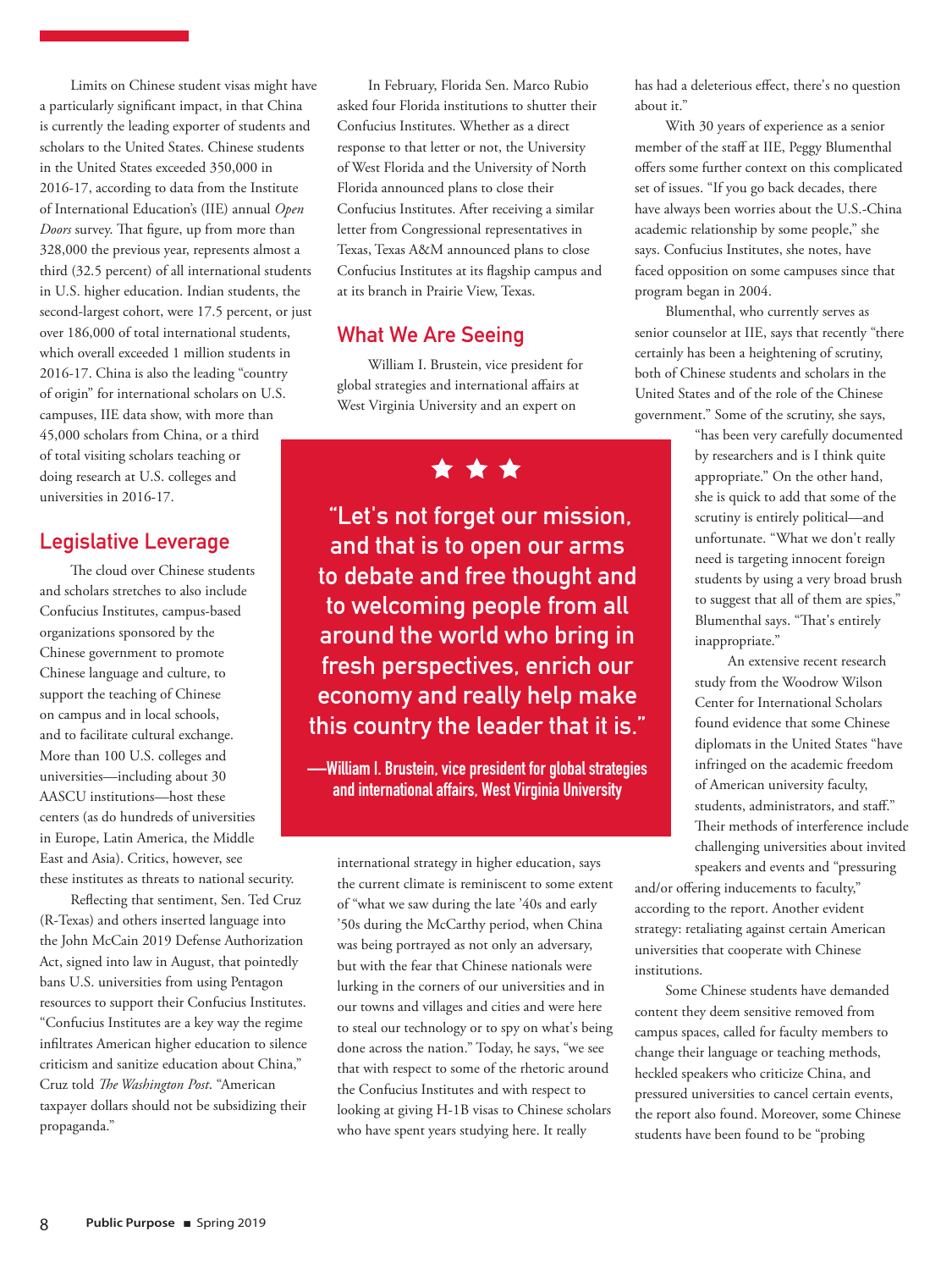Limits on Chinese student visas might have a particularly significant impact, in that China is currently the leading exporter of students and scholars to the United States. Chinese students in the United States exceeded 350,000 in 2016-17, according to data from the Institute of International Education's (IIE) annual *Open Doors* survey. That figure, up from more than 328,000 the previous year, represents almost a third (32.5 percent) of all international students in U.S. higher education. Indian students, the second-largest cohort, were 17.5 percent, or just over 186,000 of total international students, which overall exceeded 1 million students in 2016-17. China is also the leading "country of origin" for international scholars on U.S. campuses, IIE data show, with more than 45,000 scholars from China, or a third of total visiting scholars teaching or doing research at U.S. colleges and universities in 2016-17.

#### **Legislative Leverage**

The cloud over Chinese students and scholars stretches to also include Confucius Institutes, campus-based organizations sponsored by the Chinese government to promote Chinese language and culture, to support the teaching of Chinese on campus and in local schools, and to facilitate cultural exchange. More than 100 U.S. colleges and universities—including about 30 AASCU institutions—host these centers (as do hundreds of universities in Europe, Latin America, the Middle East and Asia). Critics, however, see these institutes as threats to national security.

Reflecting that sentiment, Sen. Ted Cruz (R-Texas) and others inserted language into the John McCain 2019 Defense Authorization Act, signed into law in August, that pointedly bans U.S. universities from using Pentagon resources to support their Confucius Institutes. "Confucius Institutes are a key way the regime infiltrates American higher education to silence criticism and sanitize education about China," Cruz told *The Washington Post*. "American taxpayer dollars should not be subsidizing their propaganda."

In February, Florida Sen. Marco Rubio asked four Florida institutions to shutter their Confucius Institutes. Whether as a direct response to that letter or not, the University of West Florida and the University of North Florida announced plans to close their Confucius Institutes. After receiving a similar letter from Congressional representatives in Texas, Texas A&M announced plans to close Confucius Institutes at its flagship campus and at its branch in Prairie View, Texas.

#### **What We Are Seeing**

William I. Brustein, vice president for global strategies and international affairs at West Virginia University and an expert on

\* \* \*

 **"Let's not forget our mission, and that is to open our arms to debate and free thought and to welcoming people from all around the world who bring in fresh perspectives, enrich our economy and really help make this country the leader that it is."** 

**—William I. Brustein, vice president for global strategies and international affairs, West Virginia University**

international strategy in higher education, says the current climate is reminiscent to some extent of "what we saw during the late '40s and early '50s during the McCarthy period, when China was being portrayed as not only an adversary, but with the fear that Chinese nationals were lurking in the corners of our universities and in our towns and villages and cities and were here to steal our technology or to spy on what's being done across the nation." Today, he says, "we see that with respect to some of the rhetoric around the Confucius Institutes and with respect to looking at giving H-1B visas to Chinese scholars who have spent years studying here. It really

has had a deleterious effect, there's no question about it."

With 30 years of experience as a senior member of the staff at IIE, Peggy Blumenthal offers some further context on this complicated set of issues. "If you go back decades, there have always been worries about the U.S.-China academic relationship by some people," she says. Confucius Institutes, she notes, have faced opposition on some campuses since that program began in 2004.

Blumenthal, who currently serves as senior counselor at IIE, says that recently "there certainly has been a heightening of scrutiny, both of Chinese students and scholars in the United States and of the role of the Chinese government." Some of the scrutiny, she says,

> "has been very carefully documented by researchers and is I think quite appropriate." On the other hand, she is quick to add that some of the scrutiny is entirely political—and unfortunate. "What we don't really need is targeting innocent foreign students by using a very broad brush to suggest that all of them are spies," Blumenthal says. "That's entirely inappropriate."

 An extensive recent research study from the Woodrow Wilson Center for International Scholars found evidence that some Chinese diplomats in the United States "have infringed on the academic freedom of American university faculty, students, administrators, and staff." Their methods of interference include challenging universities about invited speakers and events and "pressuring

and/or offering inducements to faculty," according to the report. Another evident strategy: retaliating against certain American universities that cooperate with Chinese institutions.

Some Chinese students have demanded content they deem sensitive removed from campus spaces, called for faculty members to change their language or teaching methods, heckled speakers who criticize China, and pressured universities to cancel certain events, the report also found. Moreover, some Chinese students have been found to be "probing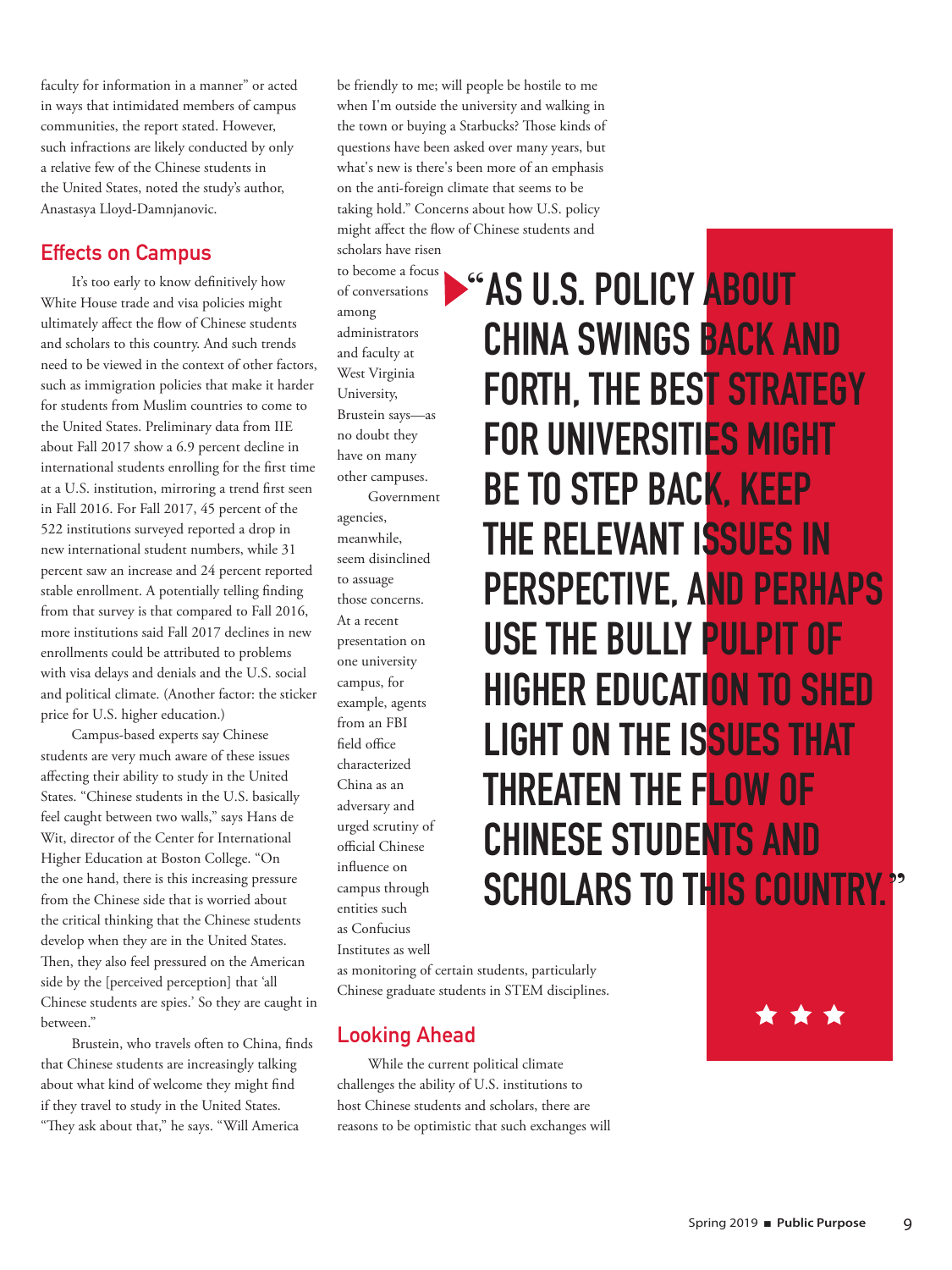faculty for information in a manner" or acted in ways that intimidated members of campus communities, the report stated. However, such infractions are likely conducted by only a relative few of the Chinese students in the United States, noted the study's author, Anastasya Lloyd-Damnjanovic.

#### **Effects on Campus**

It's too early to know definitively how White House trade and visa policies might ultimately affect the flow of Chinese students and scholars to this country. And such trends need to be viewed in the context of other factors, such as immigration policies that make it harder for students from Muslim countries to come to the United States. Preliminary data from IIE about Fall 2017 show a 6.9 percent decline in international students enrolling for the first time at a U.S. institution, mirroring a trend first seen in Fall 2016. For Fall 2017, 45 percent of the 522 institutions surveyed reported a drop in new international student numbers, while 31 percent saw an increase and 24 percent reported stable enrollment. A potentially telling finding from that survey is that compared to Fall 2016, more institutions said Fall 2017 declines in new enrollments could be attributed to problems with visa delays and denials and the U.S. social and political climate. (Another factor: the sticker price for U.S. higher education.)

Campus-based experts say Chinese students are very much aware of these issues affecting their ability to study in the United States. "Chinese students in the U.S. basically feel caught between two walls," says Hans de Wit, director of the Center for International Higher Education at Boston College. "On the one hand, there is this increasing pressure from the Chinese side that is worried about the critical thinking that the Chinese students develop when they are in the United States. Then, they also feel pressured on the American side by the [perceived perception] that 'all Chinese students are spies.' So they are caught in between."

Brustein, who travels often to China, finds that Chinese students are increasingly talking about what kind of welcome they might find if they travel to study in the United States. "They ask about that," he says. "Will America

be friendly to me; will people be hostile to me when I'm outside the university and walking in the town or buying a Starbucks? Those kinds of questions have been asked over many years, but what's new is there's been more of an emphasis on the anti-foreign climate that seems to be taking hold." Concerns about how U.S. policy might affect the flow of Chinese students and scholars have risen

to become a focus of conversations among administrators and faculty at West Virginia University, Brustein says—as no doubt they have on many other campuses. Government

agencies, meanwhile, seem disinclined to assuage those concerns. At a recent presentation on one university campus, for example, agents from an FBI field office characterized China as an adversary and urged scrutiny of official Chinese influence on campus through entities such as Confucius Institutes as well

"**AS U.S. POLICY ABOUT CHINA SWINGS BACK AND FORTH, THE BEST STRATEGY FOR UNIVERSITIES MIGHT BE TO STEP BACK, KEEP THE RELEVANT ISSUES IN PERSPECTIVE, AND PERHAPS USE THE BULLY PULPIT OF HIGHER EDUCATION TO SHED LIGHT ON THE ISSUES THAT THREATEN THE FLOW OF CHINESE STUDENTS AND SCHOLARS TO THIS COUNTRY.** 

as monitoring of certain students, particularly Chinese graduate students in STEM disciplines.

### **Looking Ahead**

While the current political climate challenges the ability of U.S. institutions to host Chinese students and scholars, there are reasons to be optimistic that such exchanges will